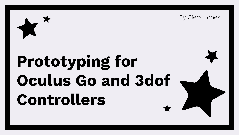

By Ciera Jones

# **Prototyping for Oculus Go and 3dof Controllers**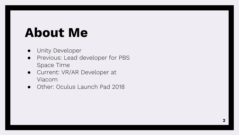### **About Me**

- Unity Developer
- Previous: Lead developer for PBS Space Time
- Current: VR/AR Developer at Viacom
- Other: Oculus Launch Pad 2018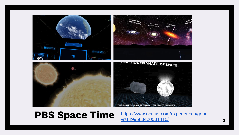

**PBS Space Time https://www.oculus.com/experiences/gear-** 3 [https://www.oculus.com/experiences/gear](https://www.oculus.com/experiences/gear-vr/1499563420081410/)[vr/1499563420081410/](https://www.oculus.com/experiences/gear-vr/1499563420081410/)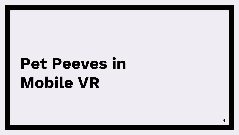## **Pet Peeves in Mobile VR**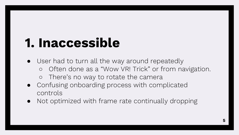### **1. Inaccessible**

- User had to turn all the way around repeatedly o Often done as a "Wow VR! Trick" or from navigation. ○ There's no way to rotate the camera
- Confusing onboarding process with complicated controls
- Not optimized with frame rate continually dropping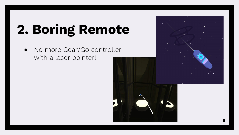### **2. Boring Remote**

● No more Gear/Go controller with a laser pointer!

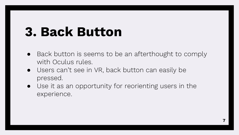#### **3. Back Button**

- Back button is seems to be an afterthought to comply with Oculus rules.
- Users can't see in VR, back button can easily be pressed.
- Use it as an opportunity for reorienting users in the experience.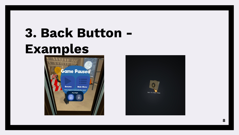### **3. Back Button - Examples**



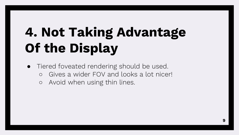### **4. Not Taking Advantage Of the Display**

- Tiered foveated rendering should be used.
	- Gives a wider FOV and looks a lot nicer!
	- Avoid when using thin lines.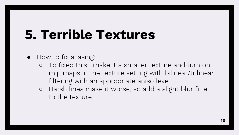### **5. Terrible Textures**

- How to fix aliasing:
	- To fixed this I make it a smaller texture and turn on mip maps in the texture setting with bilinear/trilinear filtering with an appropriate aniso level
	- Harsh lines make it worse, so add a slight blur filter to the texture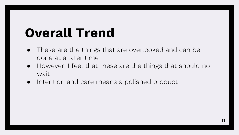### **Overall Trend**

- These are the things that are overlooked and can be done at a later time
- However, I feel that these are the things that should not wait
- Intention and care means a polished product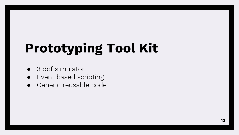### **Prototyping Tool Kit**

- 3 dof simulator
- Event based scripting
- Generic reusable code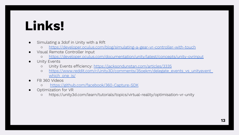### **Links!**

- Simulating a 3dof in Unity with a Rift
	- o <https://developer.oculus.com/blog/simulating-a-gear-vr-controller-with-touch>
- Visual Remote Controller Input
	- o <https://developer.oculus.com/documentation/unity/latest/concepts/unity-ovrinput>
- **Unity Events** 
	- o Unity Events efficiency:<https://jacksondunstan.com/articles/3335>
	- o https://www.reddit.com/r/Unity3D/comments/35oekm/delegate\_events\_vs\_unityevent which one is/
- FB 360 Videos
	- o <https://github.com/facebook/360-Capture-SDK>
- Optimization for VR
	- https://unity3d.com/learn/tutorials/topics/virtual-reality/optimisation-vr-unity